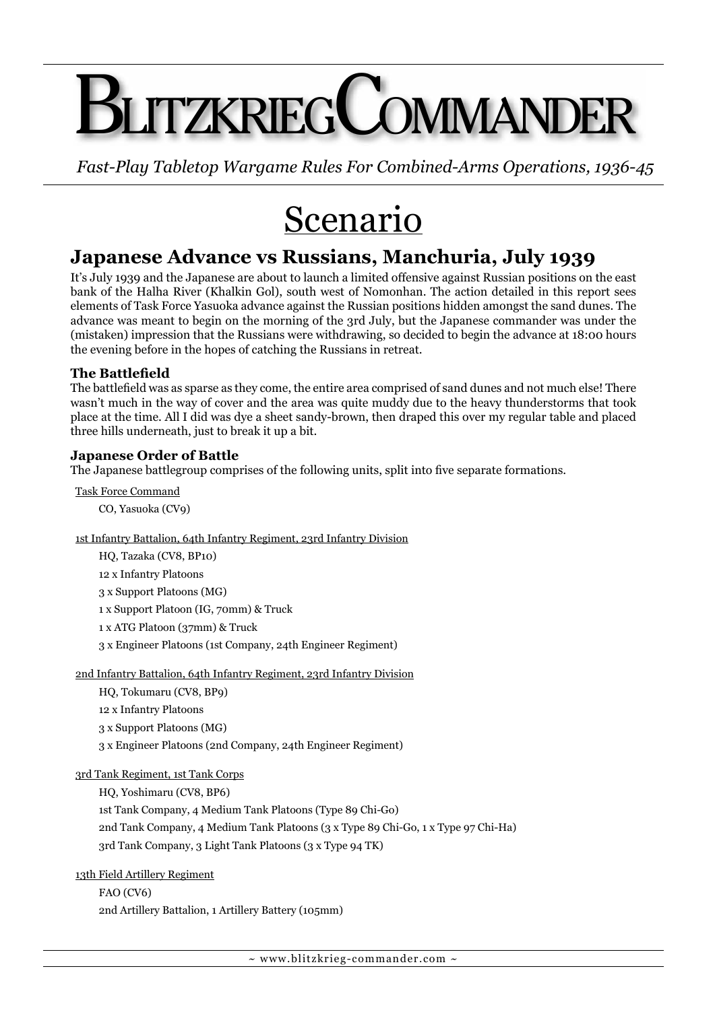# **I ITZKRIEGCOMMAND**

*Fast-Play Tabletop Wargame Rules For Combined-Arms Operations, 1936-45*

## Scenario

### **Japanese Advance vs Russians, Manchuria, July 1939**

It's July 1939 and the Japanese are about to launch a limited offensive against Russian positions on the east bank of the Halha River (Khalkin Gol), south west of Nomonhan. The action detailed in this report sees elements of Task Force Yasuoka advance against the Russian positions hidden amongst the sand dunes. The advance was meant to begin on the morning of the 3rd July, but the Japanese commander was under the (mistaken) impression that the Russians were withdrawing, so decided to begin the advance at 18:00 hours the evening before in the hopes of catching the Russians in retreat.

#### **The Battlefield**

The battlefield was as sparse as they come, the entire area comprised of sand dunes and not much else! There wasn't much in the way of cover and the area was quite muddy due to the heavy thunderstorms that took place at the time. All I did was dye a sheet sandy-brown, then draped this over my regular table and placed three hills underneath, just to break it up a bit.

#### **Japanese Order of Battle**

The Japanese battlegroup comprises of the following units, split into five separate formations.

Task Force Command

CO, Yasuoka (CV9)

1st Infantry Battalion, 64th Infantry Regiment, 23rd Infantry Division

HQ, Tazaka (CV8, BP10) 12 x Infantry Platoons 3 x Support Platoons (MG) 1 x Support Platoon (IG, 70mm) & Truck 1 x ATG Platoon (37mm) & Truck 3 x Engineer Platoons (1st Company, 24th Engineer Regiment)

2nd Infantry Battalion, 64th Infantry Regiment, 23rd Infantry Division

HQ, Tokumaru (CV8, BP9)

12 x Infantry Platoons

3 x Support Platoons (MG)

3 x Engineer Platoons (2nd Company, 24th Engineer Regiment)

3rd Tank Regiment, 1st Tank Corps

HQ, Yoshimaru (CV8, BP6)

1st Tank Company, 4 Medium Tank Platoons (Type 89 Chi-Go) 2nd Tank Company, 4 Medium Tank Platoons (3 x Type 89 Chi-Go, 1 x Type 97 Chi-Ha) 3rd Tank Company, 3 Light Tank Platoons (3 x Type 94 TK)

13th Field Artillery Regiment

FAO (CV6) 2nd Artillery Battalion, 1 Artillery Battery (105mm)

 $\sim$  www.blitzkrieg-commander.com  $\sim$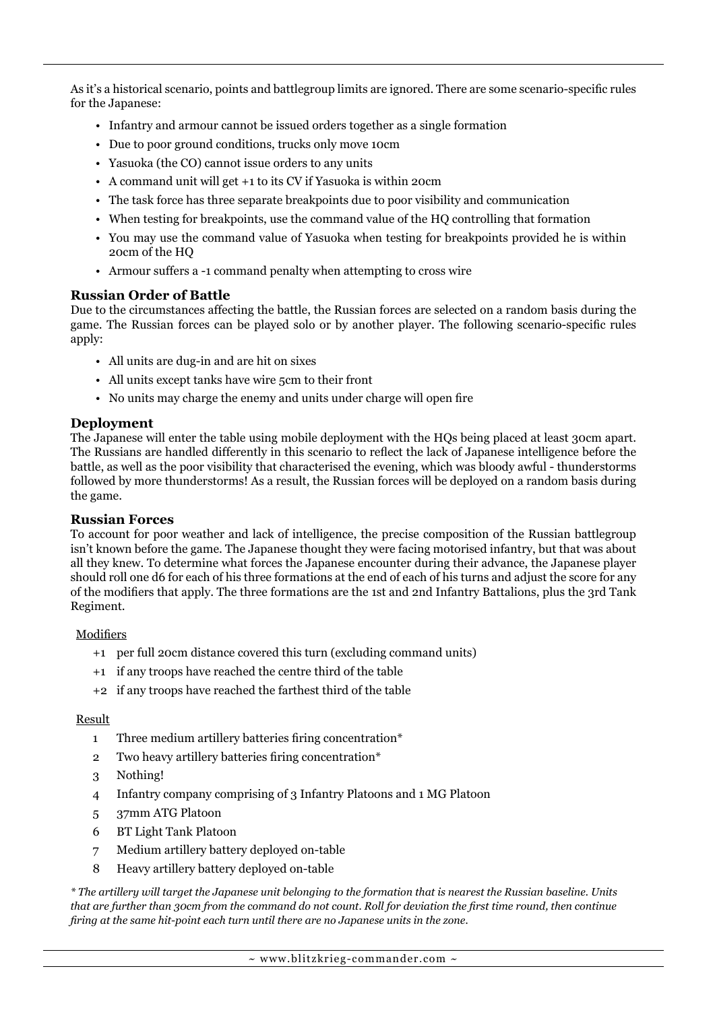As it's a historical scenario, points and battlegroup limits are ignored. There are some scenario-specific rules for the Japanese:

- Infantry and armour cannot be issued orders together as a single formation
- Due to poor ground conditions, trucks only move 10cm
- Yasuoka (the CO) cannot issue orders to any units
- A command unit will get +1 to its CV if Yasuoka is within 20cm
- The task force has three separate breakpoints due to poor visibility and communication
- When testing for breakpoints, use the command value of the HQ controlling that formation
- You may use the command value of Yasuoka when testing for breakpoints provided he is within 20cm of the HQ
- Armour suffers a -1 command penalty when attempting to cross wire

#### **Russian Order of Battle**

Due to the circumstances affecting the battle, the Russian forces are selected on a random basis during the game. The Russian forces can be played solo or by another player. The following scenario-specific rules apply:

- All units are dug-in and are hit on sixes
- All units except tanks have wire 5cm to their front
- No units may charge the enemy and units under charge will open fire

#### **Deployment**

The Japanese will enter the table using mobile deployment with the HQs being placed at least 30cm apart. The Russians are handled differently in this scenario to reflect the lack of Japanese intelligence before the battle, as well as the poor visibility that characterised the evening, which was bloody awful - thunderstorms followed by more thunderstorms! As a result, the Russian forces will be deployed on a random basis during the game.

#### **Russian Forces**

To account for poor weather and lack of intelligence, the precise composition of the Russian battlegroup isn't known before the game. The Japanese thought they were facing motorised infantry, but that was about all they knew. To determine what forces the Japanese encounter during their advance, the Japanese player should roll one d6 for each of his three formations at the end of each of his turns and adjust the score for any of the modifiers that apply. The three formations are the 1st and 2nd Infantry Battalions, plus the 3rd Tank Regiment.

#### **Modifiers**

- +1 per full 20cm distance covered this turn (excluding command units)
- +1 if any troops have reached the centre third of the table
- +2 if any troops have reached the farthest third of the table

#### Result

- 1 Three medium artillery batteries firing concentration\*
- 2 Two heavy artillery batteries firing concentration\*
- 3 Nothing!
- 4 Infantry company comprising of 3 Infantry Platoons and 1 MG Platoon
- 5 37mm ATG Platoon
- 6 BT Light Tank Platoon
- 7 Medium artillery battery deployed on-table
- 8 Heavy artillery battery deployed on-table

*\* The artillery will target the Japanese unit belonging to the formation that is nearest the Russian baseline. Units that are further than 30cm from the command do not count. Roll for deviation the first time round, then continue firing at the same hit-point each turn until there are no Japanese units in the zone.*